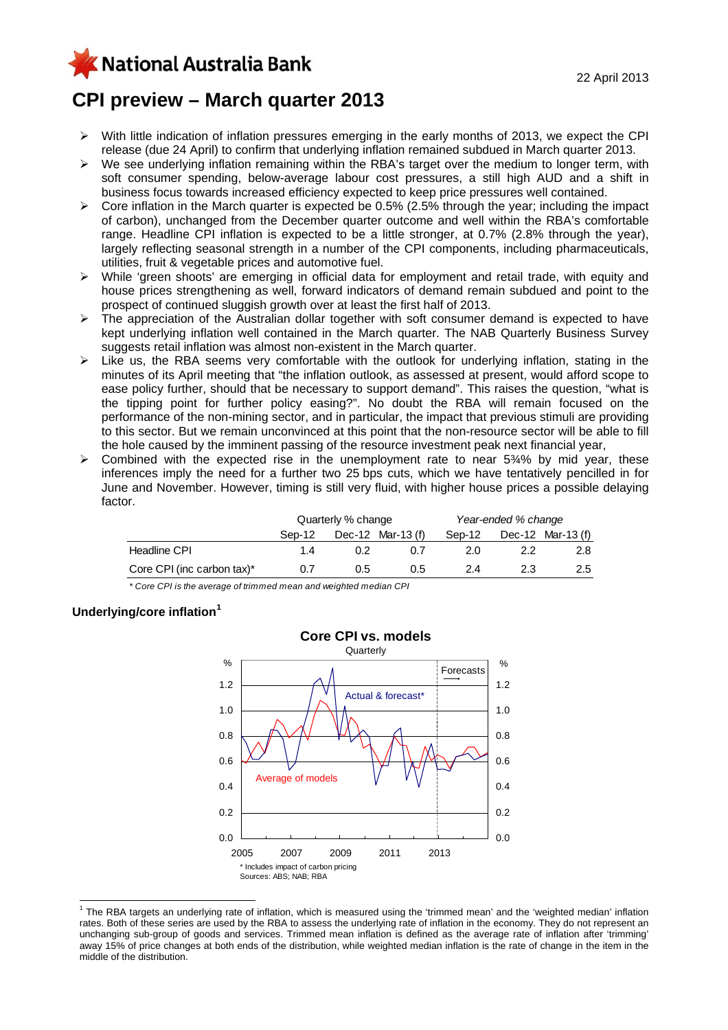KNational Australia Bank

# **CPI preview – March quarter 2013**

- ¾ With little indication of inflation pressures emerging in the early months of 2013, we expect the CPI release (due 24 April) to confirm that underlying inflation remained subdued in March quarter 2013.
- $\triangleright$  We see underlying inflation remaining within the RBA's target over the medium to longer term, with soft consumer spending, below-average labour cost pressures, a still high AUD and a shift in business focus towards increased efficiency expected to keep price pressures well contained.
- $\triangleright$  Core inflation in the March quarter is expected be 0.5% (2.5% through the year; including the impact of carbon), unchanged from the December quarter outcome and well within the RBA's comfortable range. Headline CPI inflation is expected to be a little stronger, at 0.7% (2.8% through the year), largely reflecting seasonal strength in a number of the CPI components, including pharmaceuticals, utilities, fruit & vegetable prices and automotive fuel.
- ¾ While 'green shoots' are emerging in official data for employment and retail trade, with equity and house prices strengthening as well, forward indicators of demand remain subdued and point to the prospect of continued sluggish growth over at least the first half of 2013.
- $\triangleright$  The appreciation of the Australian dollar together with soft consumer demand is expected to have kept underlying inflation well contained in the March quarter. The NAB Quarterly Business Survey suggests retail inflation was almost non-existent in the March quarter.
- ¾ Like us, the RBA seems very comfortable with the outlook for underlying inflation, stating in the minutes of its April meeting that "the inflation outlook, as assessed at present, would afford scope to ease policy further, should that be necessary to support demand". This raises the question, "what is the tipping point for further policy easing?". No doubt the RBA will remain focused on the performance of the non-mining sector, and in particular, the impact that previous stimuli are providing to this sector. But we remain unconvinced at this point that the non-resource sector will be able to fill the hole caused by the imminent passing of the resource investment peak next financial year,
- $\triangleright$  Combined with the expected rise in the unemployment rate to near 5 $\frac{3}{4}$ % by mid year, these inferences imply the need for a further two 25 bps cuts, which we have tentatively pencilled in for June and November. However, timing is still very fluid, with higher house prices a possible delaying factor.

|                               | Quarterly % change |         | Year-ended % change |        |     |                     |
|-------------------------------|--------------------|---------|---------------------|--------|-----|---------------------|
|                               | Sep-12             |         | Dec-12 Mar-13 $(f)$ | Sep-12 |     | Dec-12 Mar-13 $(f)$ |
| Headline CPI                  | 1.4                | 0.2     | 0.7                 | 2.0    | 2.2 | 2.8                 |
| Core CPI (inc carbon tax) $*$ | 0.7                | $0.5\,$ | 0.5                 | 2.4    | 2.3 | $2.5^{\circ}$       |

*\* Core CPI is the average of trimmed mean and weighted median CPI*

## **Underlying/core inflation[1](#page-0-0)**

 $\overline{a}$ 



<span id="page-0-0"></span><sup>&</sup>lt;sup>1</sup> The RBA targets an underlying rate of inflation, which is measured using the 'trimmed mean' and the 'weighted median' inflation rates. Both of these series are used by the RBA to assess the underlying rate of inflation in the economy. They do not represent an unchanging sub-group of goods and services. Trimmed mean inflation is defined as the average rate of inflation after 'trimming' away 15% of price changes at both ends of the distribution, while weighted median inflation is the rate of change in the item in the middle of the distribution.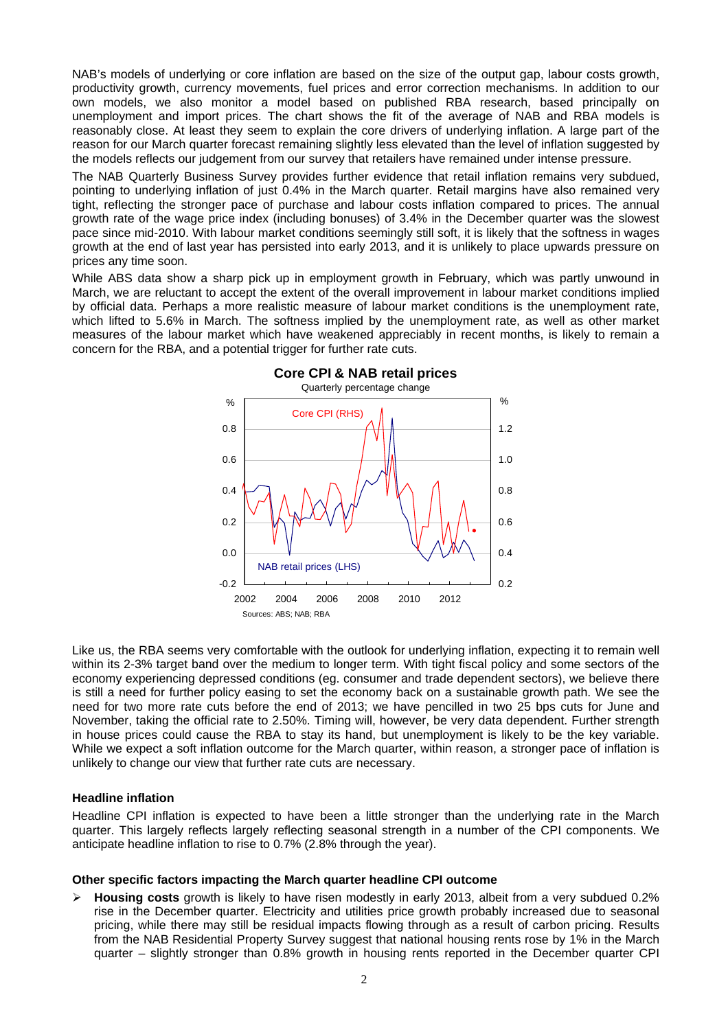NAB's models of underlying or core inflation are based on the size of the output gap, labour costs growth, productivity growth, currency movements, fuel prices and error correction mechanisms. In addition to our own models, we also monitor a model based on published RBA research, based principally on unemployment and import prices. The chart shows the fit of the average of NAB and RBA models is reasonably close. At least they seem to explain the core drivers of underlying inflation. A large part of the reason for our March quarter forecast remaining slightly less elevated than the level of inflation suggested by the models reflects our judgement from our survey that retailers have remained under intense pressure.

The NAB Quarterly Business Survey provides further evidence that retail inflation remains very subdued, pointing to underlying inflation of just 0.4% in the March quarter. Retail margins have also remained very tight, reflecting the stronger pace of purchase and labour costs inflation compared to prices. The annual growth rate of the wage price index (including bonuses) of 3.4% in the December quarter was the slowest pace since mid-2010. With labour market conditions seemingly still soft, it is likely that the softness in wages growth at the end of last year has persisted into early 2013, and it is unlikely to place upwards pressure on prices any time soon.

While ABS data show a sharp pick up in employment growth in February, which was partly unwound in March, we are reluctant to accept the extent of the overall improvement in labour market conditions implied by official data. Perhaps a more realistic measure of labour market conditions is the unemployment rate, which lifted to 5.6% in March. The softness implied by the unemployment rate, as well as other market measures of the labour market which have weakened appreciably in recent months, is likely to remain a concern for the RBA, and a potential trigger for further rate cuts.



Like us, the RBA seems very comfortable with the outlook for underlying inflation, expecting it to remain well within its 2-3% target band over the medium to longer term. With tight fiscal policy and some sectors of the economy experiencing depressed conditions (eg. consumer and trade dependent sectors), we believe there is still a need for further policy easing to set the economy back on a sustainable growth path. We see the need for two more rate cuts before the end of 2013; we have pencilled in two 25 bps cuts for June and November, taking the official rate to 2.50%. Timing will, however, be very data dependent. Further strength in house prices could cause the RBA to stay its hand, but unemployment is likely to be the key variable. While we expect a soft inflation outcome for the March quarter, within reason, a stronger pace of inflation is unlikely to change our view that further rate cuts are necessary.

## **Headline inflation**

Headline CPI inflation is expected to have been a little stronger than the underlying rate in the March quarter. This largely reflects largely reflecting seasonal strength in a number of the CPI components. We anticipate headline inflation to rise to 0.7% (2.8% through the year).

#### **Other specific factors impacting the March quarter headline CPI outcome**

¾ **Housing costs** growth is likely to have risen modestly in early 2013, albeit from a very subdued 0.2% rise in the December quarter. Electricity and utilities price growth probably increased due to seasonal pricing, while there may still be residual impacts flowing through as a result of carbon pricing. Results from the NAB Residential Property Survey suggest that national housing rents rose by 1% in the March quarter – slightly stronger than 0.8% growth in housing rents reported in the December quarter CPI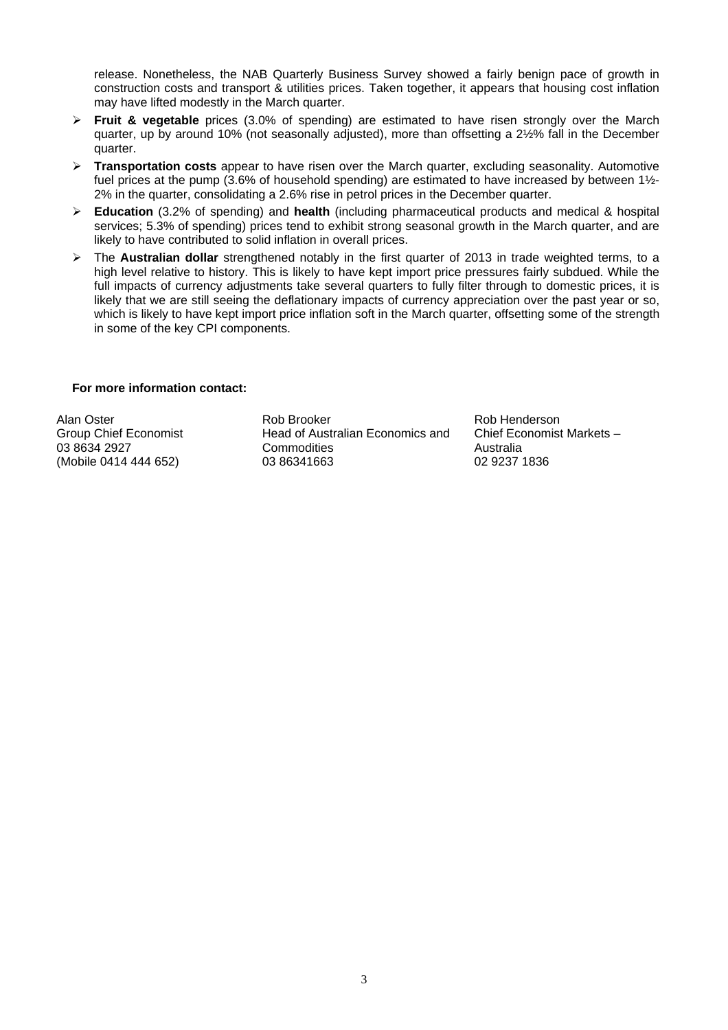release. Nonetheless, the NAB Quarterly Business Survey showed a fairly benign pace of growth in construction costs and transport & utilities prices. Taken together, it appears that housing cost inflation may have lifted modestly in the March quarter.

- ¾ **Fruit & vegetable** prices (3.0% of spending) are estimated to have risen strongly over the March quarter, up by around 10% (not seasonally adjusted), more than offsetting a 2½% fall in the December quarter.
- ¾ **Transportation costs** appear to have risen over the March quarter, excluding seasonality. Automotive fuel prices at the pump (3.6% of household spending) are estimated to have increased by between 1½- 2% in the quarter, consolidating a 2.6% rise in petrol prices in the December quarter.
- ¾ **Education** (3.2% of spending) and **health** (including pharmaceutical products and medical & hospital services; 5.3% of spending) prices tend to exhibit strong seasonal growth in the March quarter, and are likely to have contributed to solid inflation in overall prices.
- ¾ The **Australian dollar** strengthened notably in the first quarter of 2013 in trade weighted terms, to a high level relative to history. This is likely to have kept import price pressures fairly subdued. While the full impacts of currency adjustments take several quarters to fully filter through to domestic prices, it is likely that we are still seeing the deflationary impacts of currency appreciation over the past year or so, which is likely to have kept import price inflation soft in the March quarter, offsetting some of the strength in some of the key CPI components.

#### **For more information contact:**

Alan Oster Group Chief Economist 03 8634 2927 (Mobile 0414 444 652)

Rob Brooker Head of Australian Economics and **Commodities** 03 86341663

Rob Henderson Chief Economist Markets – Australia 02 9237 1836